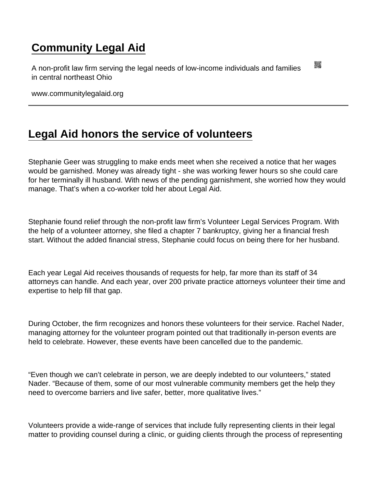## [Community Legal Aid](https://www.communitylegalaid.org/)

A non-profit law firm serving the legal needs of low-income individuals and families in central northeast Ohio

www.communitylegalaid.org

## [Legal Aid honors the service of volunteers](https://www.communitylegalaid.org/node/1414/legal-aid-honors-service-volunteers)

Stephanie Geer was struggling to make ends meet when she received a notice that her wages would be garnished. Money was already tight - she was working fewer hours so she could care for her terminally ill husband. With news of the pending garnishment, she worried how they would manage. That's when a co-worker told her about Legal Aid.

Stephanie found relief through the non-profit law firm's Volunteer Legal Services Program. With the help of a volunteer attorney, she filed a chapter 7 bankruptcy, giving her a financial fresh start. Without the added financial stress, Stephanie could focus on being there for her husband.

Each year Legal Aid receives thousands of requests for help, far more than its staff of 34 attorneys can handle. And each year, over 200 private practice attorneys volunteer their time and expertise to help fill that gap.

During October, the firm recognizes and honors these volunteers for their service. Rachel Nader, managing attorney for the volunteer program pointed out that traditionally in-person events are held to celebrate. However, these events have been cancelled due to the pandemic.

"Even though we can't celebrate in person, we are deeply indebted to our volunteers," stated Nader. "Because of them, some of our most vulnerable community members get the help they need to overcome barriers and live safer, better, more qualitative lives."

Volunteers provide a wide-range of services that include fully representing clients in their legal matter to providing counsel during a clinic, or guiding clients through the process of representing